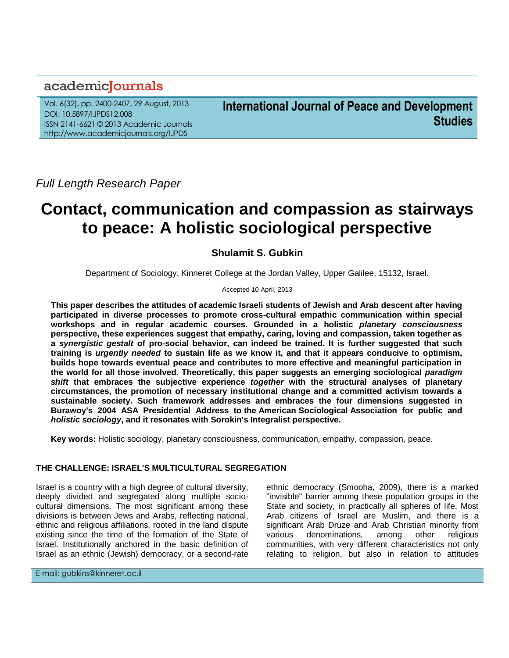## academicJournals

Vol. 6(32), pp. 2400-2407, 29 August, 2013 DOI: 10.5897/IJPDS12.008 ISSN 2141-6621 © 2013 Academic Journals http://www.academicjournals.org/IJPDS

**International Journal of Peace and Development Studies**

*Full Length Research Paper*

# **Contact, communication and compassion as stairways to peace: A holistic sociological perspective**

### **Shulamit S. Gubkin**

Department of Sociology, Kinneret College at the Jordan Valley, Upper Galilee, 15132, Israel.

Accepted 10 April, 2013

**This paper describes the attitudes of academic Israeli students of Jewish and Arab descent after having participated in diverse processes to promote cross-cultural empathic communication within special workshops and in regular academic courses. Grounded in a holistic** *planetary consciousness* **perspective, these experiences suggest that empathy, caring, loving and compassion, taken together as a** *synergistic gestalt* **of pro-social behavior, can indeed be trained. It is further suggested that such training is** *urgently needed* **to sustain life as we know it, and that it appears conducive to optimism, builds hope towards eventual peace and contributes to more effective and meaningful participation in the world for all those involved. Theoretically, this paper suggests an emerging sociological** *paradigm shift* **that embraces the subjective experience** *together* **with the structural analyses of planetary circumstances, the promotion of necessary institutional change and a committed activism towards a sustainable society. Such framework addresses and embraces the four dimensions suggested in Burawoy's 2004 ASA Presidential Address to the American Sociological Association for public and**  *holistic sociology***, and it resonates with Sorokin's Integralist perspective.**

**Key words:** Holistic sociology, planetary consciousness, communication, empathy, compassion, peace.

#### **THE CHALLENGE: ISRAEL'S MULTICULTURAL SEGREGATION**

Israel is a country with a high degree of cultural diversity, deeply divided and segregated along multiple sociocultural dimensions. The most significant among these divisions is between Jews and Arabs, reflecting national, ethnic and religious affiliations, rooted in the land dispute existing since the time of the formation of the State of Israel. Institutionally anchored in the basic definition of Israel as an ethnic (Jewish) democracy, or a second-rate ethnic democracy (Smooha, 2009), there is a marked "invisible" barrier among these population groups in the State and society, in practically all spheres of life. Most Arab citizens of Israel are Muslim, and there is a significant Arab Druze and Arab Christian minority from various denominations, among other religious communities, with very different characteristics not only relating to religion, but also in relation to attitudes

E-mail: gubkins@kinneret.ac.il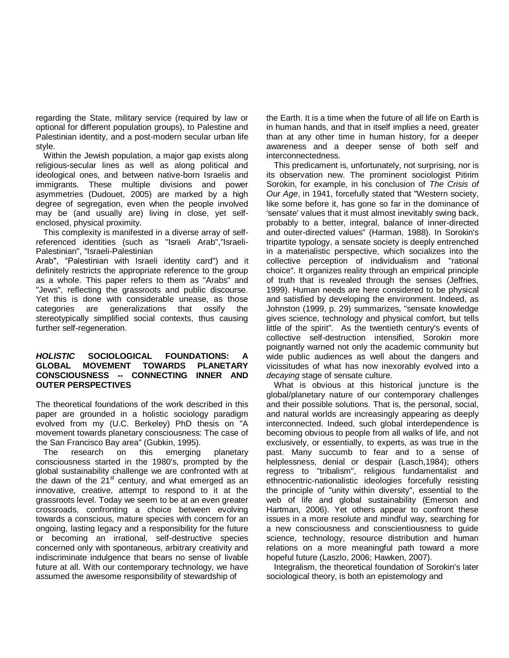regarding the State, military service (required by law or optional for different population groups), to Palestine and Palestinian identity, and a post-modern secular urban life style.

Within the Jewish population, a major gap exists along religious-secular lines as well as along political and ideological ones, and between native-born Israelis and immigrants. These multiple divisions and power asymmetries (Dudouet, 2005) are marked by a high degree of segregation, even when the people involved may be (and usually are) living in close, yet selfenclosed, physical proximity.

This complexity is manifested in a diverse array of selfreferenced identities (such as "Israeli Arab","Israeli-Palestinian", "Israeli-Palestinian

Arab", "Palestinian with Israeli identity card") and it definitely restricts the appropriate reference to the group as a whole. This paper refers to them as "Arabs" and "Jews", reflecting the grassroots and public discourse. Yet this is done with considerable unease, as those categories are generalizations that ossify the stereotypically simplified social contexts, thus causing further self-regeneration.

#### *HOLISTIC* **SOCIOLOGICAL FOUNDATIONS: A GLOBAL MOVEMENT TOWARDS PLANETARY CONSCIOUSNESS -- CONNECTING INNER AND OUTER PERSPECTIVES**

The theoretical foundations of the work described in this paper are grounded in a holistic sociology paradigm evolved from my (U.C. Berkeley) PhD thesis on "A movement towards planetary consciousness: The case of the San Francisco Bay area" (Gubkin, 1995).

The research on this emerging planetary consciousness started in the 1980's, prompted by the global sustainability challenge we are confronted with at the dawn of the  $21<sup>st</sup>$  century, and what emerged as an innovative, creative, attempt to respond to it at the grassroots level. Today we seem to be at an even greater crossroads, confronting a choice between evolving towards a conscious, mature species with concern for an ongoing, lasting legacy and a responsibility for the future or becoming an irrational, self-destructive species concerned only with spontaneous, arbitrary creativity and indiscriminate indulgence that bears no sense of livable future at all. With our contemporary technology, we have assumed the awesome responsibility of stewardship of

the Earth. It is a time when the future of all life on Earth is in human hands, and that in itself implies a need, greater than at any other time in human history, for a deeper awareness and a deeper sense of both self and interconnectedness.

This predicament is, unfortunately, not surprising, nor is its observation new. The prominent sociologist Pitirim Sorokin, for example, in his conclusion of *The Crisis of Our Age*, in 1941, forcefully stated that "Western society, like some before it, has gone so far in the dominance of 'sensate' values that it must almost inevitably swing back, probably to a better, integral, balance of inner-directed and outer-directed values" (Harman, 1988). In Sorokin's tripartite typology, a sensate society is deeply entrenched in a materialistic perspective, which socializes into the collective perception of individualism and "rational choice". It organizes reality through an empirical principle of truth that is revealed through the senses (Jeffries, 1999). Human needs are here considered to be physical and satisfied by developing the environment. Indeed, as Johnston (1999, p. 29) summarizes, "sensate knowledge gives science, technology and physical comfort, but tells little of the spirit". As the twentieth century's events of collective self-destruction intensified, Sorokin more poignantly warned not only the academic community but wide public audiences as well about the dangers and vicissitudes of what has now inexorably evolved into a *decaying* stage of sensate culture.

What is obvious at this historical juncture is the global/planetary nature of our contemporary challenges and their possible solutions. That is, the personal, social, and natural worlds are increasingly appearing as deeply interconnected. Indeed, such global interdependence is becoming obvious to people from all walks of life, and not exclusively, or essentially, to experts, as was true in the past. Many succumb to fear and to a sense of helplessness, denial or despair (Lasch,1984); others regress to "tribalism", religious fundamentalist and ethnocentric-nationalistic ideologies forcefully resisting the principle of "unity within diversity", essential to the web of life and global sustainability (Emerson and Hartman, 2006). Yet others appear to confront these issues in a more resolute and mindful way, searching for a new consciousness and conscientiousness to guide science, technology, resource distribution and human relations on a more meaningful path toward a more hopeful future (Laszlo, 2006; Hawken, 2007).

Integralism, the theoretical foundation of Sorokin's later sociological theory, is both an epistemology and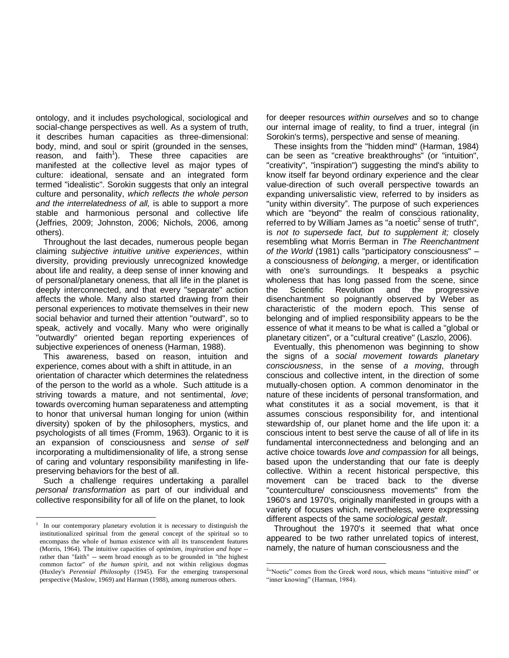ontology, and it includes psychological, sociological and social-change perspectives as well. As a system of truth, it describes human capacities as three-dimensional: body, mind, and soul or spirit (grounded in the senses, reason, and faith<sup>1</sup>). These three capacities are manifested at the collective level as major types of culture: ideational, sensate and an integrated form termed "idealistic". Sorokin suggests that only an integral culture and personality, *which reflects the whole person and the interrelatedness of all,* is able to support a more stable and harmonious personal and collective life (Jeffries, 2009; Johnston, 2006; Nichols, 2006, among others).

Throughout the last decades, numerous people began claiming *subjective intuitive unitive experiences*, within diversity, providing previously unrecognized knowledge about life and reality, a deep sense of inner knowing and of personal/planetary oneness, that all life in the planet is deeply interconnected, and that every "separate" action affects the whole. Many also started drawing from their personal experiences to motivate themselves in their new social behavior and turned their attention "outward", so to speak, actively and vocally. Many who were originally "outwardly" oriented began reporting experiences of subjective experiences of oneness (Harman, 1988).

This awareness, based on reason, intuition and experience, comes about with a shift in attitude, in an orientation of character which determines the relatedness of the person to the world as a whole. Such attitude is a striving towards a mature, and not sentimental, *love*; towards overcoming human separateness and attempting to honor that universal human longing for union (within diversity) spoken of by the philosophers, mystics, and psychologists of all times (Fromm, 1963). Organic to it is an expansion of consciousness and *sense of self* incorporating a multidimensionality of life, a strong sense of caring and voluntary responsibility manifesting in lifepreserving behaviors for the best of all.

Such a challenge requires undertaking a parallel *personal transformation* as part of our individual and collective responsibility for all of life on the planet, to look

 $\overline{a}$ 

for deeper resources *within ourselves* and so to change our internal image of reality, to find a truer, integral (in Sorokin's terms), perspective and sense of meaning.

These insights from the "hidden mind" (Harman, 1984) can be seen as "creative breakthroughs" (or "intuition", "creativity", "inspiration") suggesting the mind's ability to know itself far beyond ordinary experience and the clear value-direction of such overall perspective towards an expanding universalistic view, referred to by insiders as "unity within diversity". The purpose of such experiences which are "beyond" the realm of conscious rationality, referred to by William James as "a noetic<sup>2</sup> sense of truth", is *not to supersede fact, but to supplement it;* closely resembling what Morris Berman in *The Reenchantment of the World* (1981) calls "participatory consciousness" – a consciousness of *belonging*, a merger, or identification with one's surroundings. It bespeaks a psychic wholeness that has long passed from the scene, since the Scientific Revolution and the progressive disenchantment so poignantly observed by Weber as characteristic of the modern epoch. This sense of belonging and of implied responsibility appears to be the essence of what it means to be what is called a "global or planetary citizen", or a "cultural creative" (Laszlo, 2006).

Eventually, this phenomenon was beginning to show the signs of a *social movement towards planetary consciousness*, in the sense of *a moving*, through conscious and collective intent, in the direction of some mutually-chosen option. A common denominator in the nature of these incidents of personal transformation, and what constitutes it as a social movement, is that it assumes conscious responsibility for, and intentional stewardship of, our planet home and the life upon it: a conscious intent to best serve the cause of all of life in its fundamental interconnectedness and belonging and an active choice towards *love and compassion* for all beings, based upon the understanding that our fate is deeply collective. Within a recent historical perspective, this movement can be traced back to the diverse "counterculture/ consciousness movements" from the 1960's and 1970's, originally manifested in groups with a variety of focuses which, nevertheless, were expressing different aspects of the same *sociological gestalt*.

Throughout the 1970's it seemed that what once appeared to be two rather unrelated topics of interest, namely, the nature of human consciousness and the

<sup>1</sup> In our contemporary planetary evolution it is necessary to distinguish the institutionalized spiritual from the general concept of the spiritual so to encompass the whole of human existence with all its transcendent features (Morris, 1964). The intuitive capacities of *optimism, inspiration and hope* - rather than "faith" -- seem broad enough as to be grounded in "the highest common factor" of *the human spirit,* and not within religious dogmas (Huxley's *Perennial Philosophy* (1945). For the emerging transpersonal perspective (Maslow, 1969) and Harman (1988), among numerous others.

 $\ddot{\phantom{a}}$ <sup>2</sup>"Noetic" comes from the Greek word *nous*, which means "intuitive mind" or "inner knowing" (Harman, 1984).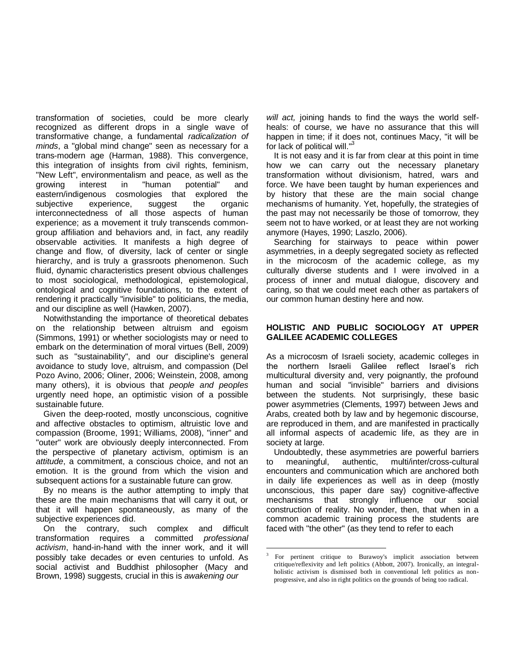transformation of societies, could be more clearly recognized as different drops in a single wave of transformative change, a fundamental *radicalization of minds*, a "global mind change" seen as necessary for a trans-modern age (Harman, 1988). This convergence, this integration of insights from civil rights, feminism, "New Left", environmentalism and peace, as well as the growing interest in "human potential" and eastern/indigenous cosmologies that explored the subjective experience, suggest the organic interconnectedness of all those aspects of human experience; as a movement it truly transcends commongroup affiliation and behaviors and, in fact, any readily observable activities. It manifests a high degree of change and flow, of diversity, lack of center or single hierarchy, and is truly a grassroots phenomenon. Such fluid, dynamic characteristics present obvious challenges to most sociological, methodological, epistemological, ontological and cognitive foundations, to the extent of rendering it practically "invisible" to politicians, the media, and our discipline as well (Hawken, 2007).

Notwithstanding the importance of theoretical debates on the relationship between altruism and egoism (Simmons, 1991) or whether sociologists may or need to embark on the determination of moral virtues (Bell, 2009) such as "sustainability", and our discipline's general avoidance to study love, altruism, and compassion (Del Pozo Avino, 2006; Oliner, 2006; Weinstein, 2008, among many others), it is obvious that *people and peoples* urgently need hope, an optimistic vision of a possible sustainable future.

Given the deep-rooted, mostly unconscious, cognitive and affective obstacles to optimism, altruistic love and compassion (Broome, 1991; Williams, 2008), "inner" and "outer" work are obviously deeply interconnected. From the perspective of planetary activism, optimism is an *attitude*, a commitment, a conscious choice, and not an emotion. It is the ground from which the vision and subsequent actions for a sustainable future can grow.

By no means is the author attempting to imply that these are the main mechanisms that will carry it out, or that it will happen spontaneously, as many of the subjective experiences did.

On the contrary, such complex and difficult transformation requires a committed *professional activism*, hand-in-hand with the inner work, and it will possibly take decades or even centuries to unfold. As social activist and Buddhist philosopher (Macy and Brown, 1998) suggests, crucial in this is *awakening our* 

*will act,* joining hands to find the ways the world selfheals: of course, we have no assurance that this will happen in time; if it does not, continues Macy, "it will be for lack of political will."<sup>3</sup>

It is not easy and it is far from clear at this point in time how we can carry out the necessary planetary transformation without divisionism, hatred, wars and force. We have been taught by human experiences and by history that these are the main social change mechanisms of humanity. Yet, hopefully, the strategies of the past may not necessarily be those of tomorrow, they seem not to have worked, or at least they are not working anymore (Hayes, 1990; Laszlo, 2006).

Searching for stairways to peace within power asymmetries, in a deeply segregated society as reflected in the microcosm of the academic college, as my culturally diverse students and I were involved in a process of inner and mutual dialogue, discovery and caring, so that we could meet each other as partakers of our common human destiny here and now.

#### **HOLISTIC AND PUBLIC SOCIOLOGY AT UPPER GALILEE ACADEMIC COLLEGES**

As a microcosm of Israeli society, academic colleges in the northern Israeli Galilee reflect Israel's rich multicultural diversity and, very poignantly, the profound human and social "invisible" barriers and divisions between the students. Not surprisingly, these basic power asymmetries (Clements, 1997) between Jews and Arabs, created both by law and by hegemonic discourse, are reproduced in them, and are manifested in practically all informal aspects of academic life, as they are in society at large.

Undoubtedly, these asymmetries are powerful barriers to meaningful, authentic, multi/inter/cross-cultural encounters and communication which are anchored both in daily life experiences as well as in deep (mostly unconscious, this paper dare say) cognitive-affective mechanisms that strongly influence our social construction of reality. No wonder, then, that when in a common academic training process the students are faced with "the other" (as they tend to refer to each

 $\overline{a}$ 

<sup>3</sup> For pertinent critique to Burawoy's implicit association between critique/reflexivity and left politics (Abbott, 2007). Ironically, an integralholistic activism is dismissed both in conventional left politics as nonprogressive, and also in right politics on the grounds of being too radical.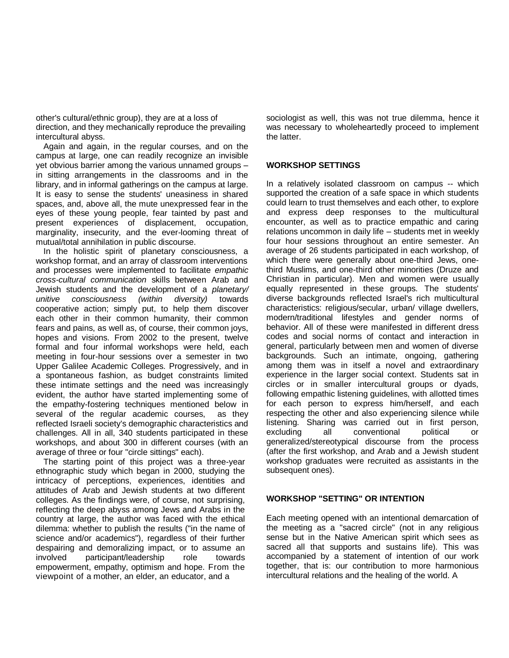other's cultural/ethnic group), they are at a loss of direction, and they mechanically reproduce the prevailing intercultural abyss.

Again and again, in the regular courses, and on the campus at large, one can readily recognize an invisible yet obvious barrier among the various unnamed groups – in sitting arrangements in the classrooms and in the library, and in informal gatherings on the campus at large. It is easy to sense the students' uneasiness in shared spaces, and, above all, the mute unexpressed fear in the eyes of these young people, fear tainted by past and present experiences of displacement, occupation, marginality, insecurity, and the ever-looming threat of mutual/total annihilation in public discourse.

In the holistic spirit of planetary consciousness, a workshop format, and an array of classroom interventions and processes were implemented to facilitate *empathic cross-cultural communication* skills between Arab and Jewish students and the development of a *planetary/ unitive consciousness (within diversity)* towards cooperative action; simply put, to help them discover each other in their common humanity, their common fears and pains, as well as, of course, their common joys, hopes and visions. From 2002 to the present, twelve formal and four informal workshops were held, each meeting in four-hour sessions over a semester in two Upper Galilee Academic Colleges. Progressively, and in a spontaneous fashion, as budget constraints limited these intimate settings and the need was increasingly evident, the author have started implementing some of the empathy-fostering techniques mentioned below in several of the regular academic courses, as they reflected Israeli society's demographic characteristics and challenges. All in all, 340 students participated in these workshops, and about 300 in different courses (with an average of three or four "circle sittings" each).

The starting point of this project was a three-year ethnographic study which began in 2000, studying the intricacy of perceptions, experiences, identities and attitudes of Arab and Jewish students at two different colleges. As the findings were, of course, not surprising, reflecting the deep abyss among Jews and Arabs in the country at large, the author was faced with the ethical dilemma: whether to publish the results ("in the name of science and/or academics"), regardless of their further despairing and demoralizing impact, or to assume an involved participant/leadership role towards empowerment, empathy, optimism and hope. From the viewpoint of a mother, an elder, an educator, and a

sociologist as well, this was not true dilemma, hence it was necessary to wholeheartedly proceed to implement the latter.

#### **WORKSHOP SETTINGS**

In a relatively isolated classroom on campus -- which supported the creation of a safe space in which students could learn to trust themselves and each other, to explore and express deep responses to the multicultural encounter, as well as to practice empathic and caring relations uncommon in daily life – students met in weekly four hour sessions throughout an entire semester. An average of 26 students participated in each workshop, of which there were generally about one-third Jews, onethird Muslims, and one-third other minorities (Druze and Christian in particular). Men and women were usually equally represented in these groups. The students' diverse backgrounds reflected Israel's rich multicultural characteristics: religious/secular, urban/ village dwellers, modern/traditional lifestyles and gender norms of behavior. All of these were manifested in different dress codes and social norms of contact and interaction in general, particularly between men and women of diverse backgrounds. Such an intimate, ongoing, gathering among them was in itself a novel and extraordinary experience in the larger social context. Students sat in circles or in smaller intercultural groups or dyads, following empathic listening guidelines, with allotted times for each person to express him/herself, and each respecting the other and also experiencing silence while listening. Sharing was carried out in first person, excluding all conventional political or generalized/stereotypical discourse from the process (after the first workshop, and Arab and a Jewish student workshop graduates were recruited as assistants in the subsequent ones).

#### **WORKSHOP "SETTING" OR INTENTION**

Each meeting opened with an intentional demarcation of the meeting as a "sacred circle" (not in any religious sense but in the Native American spirit which sees as sacred all that supports and sustains life). This was accompanied by a statement of intention of our work together, that is: our contribution to more harmonious intercultural relations and the healing of the world. A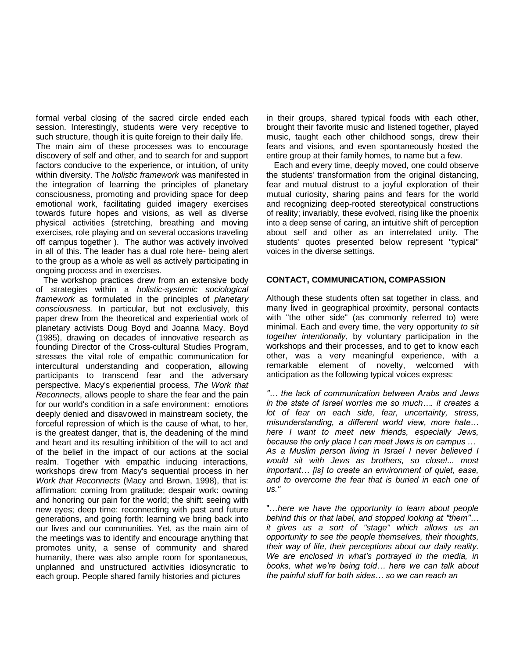formal verbal closing of the sacred circle ended each session. Interestingly, students were very receptive to such structure, though it is quite foreign to their daily life.

The main aim of these processes was to encourage discovery of self and other, and to search for and support factors conducive to the experience, or intuition, of unity within diversity. The *holistic framework* was manifested in the integration of learning the principles of planetary consciousness, promoting and providing space for deep emotional work, facilitating guided imagery exercises towards future hopes and visions, as well as diverse physical activities (stretching, breathing and moving exercises, role playing and on several occasions traveling off campus together ). The author was actively involved in all of this. The leader has a dual role here- being alert to the group as a whole as well as actively participating in ongoing process and in exercises.

The workshop practices drew from an extensive body of strategies within a *holistic-systemic sociological framework* as formulated in the principles of *planetary consciousness.* In particular, but not exclusively, this paper drew from the theoretical and experiential work of planetary activists Doug Boyd and Joanna Macy. Boyd (1985), drawing on decades of innovative research as founding Director of the Cross-cultural Studies Program, stresses the vital role of empathic communication for intercultural understanding and cooperation, allowing participants to transcend fear and the adversary perspective. Macy's experiential process, *The Work that Reconnects*, allows people to share the fear and the pain for our world's condition in a safe environment: emotions deeply denied and disavowed in mainstream society, the forceful repression of which is the cause of what, to her, is the greatest danger, that is, the deadening of the mind and heart and its resulting inhibition of the will to act and of the belief in the impact of our actions at the social realm. Together with empathic inducing interactions, workshops drew from Macy's sequential process in her *Work that Reconnects* (Macy and Brown, 1998), that is: affirmation: coming from gratitude; despair work: owning and honoring our pain for the world; the shift: seeing with new eyes; deep time: reconnecting with past and future generations, and going forth: learning we bring back into our lives and our communities. Yet, as the main aim of the meetings was to identify and encourage anything that promotes unity, a sense of community and shared humanity, there was also ample room for spontaneous, unplanned and unstructured activities idiosyncratic to each group. People shared family histories and pictures

in their groups, shared typical foods with each other, brought their favorite music and listened together, played music, taught each other childhood songs, drew their fears and visions, and even spontaneously hosted the entire group at their family homes, to name but a few.

Each and every time, deeply moved, one could observe the students' transformation from the original distancing, fear and mutual distrust to a joyful exploration of their mutual curiosity, sharing pains and fears for the world and recognizing deep-rooted stereotypical constructions of reality; invariably, these evolved, rising like the phoenix into a deep sense of caring, an intuitive shift of perception about self and other as an interrelated unity. The students' quotes presented below represent "typical" voices in the diverse settings.

#### **CONTACT, COMMUNICATION, COMPASSION**

Although these students often sat together in class, and many lived in geographical proximity, personal contacts with "the other side" (as commonly referred to) were minimal. Each and every time, the very opportunity *to sit together intentionally*, by voluntary participation in the workshops and their processes, and to get to know each other, was a very meaningful experience, with a remarkable element of novelty, welcomed with anticipation as the following typical voices express:

*"… the lack of communication between Arabs and Jews in the state of Israel worries me so much…. it creates a lot of fear on each side, fear, uncertainty, stress, misunderstanding, a different world view, more hate… here I want to meet new friends, especially Jews, because the only place I can meet Jews is on campus … As a Muslim person living in Israel I never believed I would sit with Jews as brothers, so close!... most important… [is] to create an environment of quiet, ease, and to overcome the fear that is buried in each one of us."*

"…*here we have the opportunity to learn about people behind this or that label, and stopped looking at "them"… it gives us a sort of "stage" which allows us an opportunity to see the people themselves, their thoughts, their way of life, their perceptions about our daily reality. We are enclosed in what's portrayed in the media, in books, what we're being told… here we can talk about the painful stuff for both sides… so we can reach an*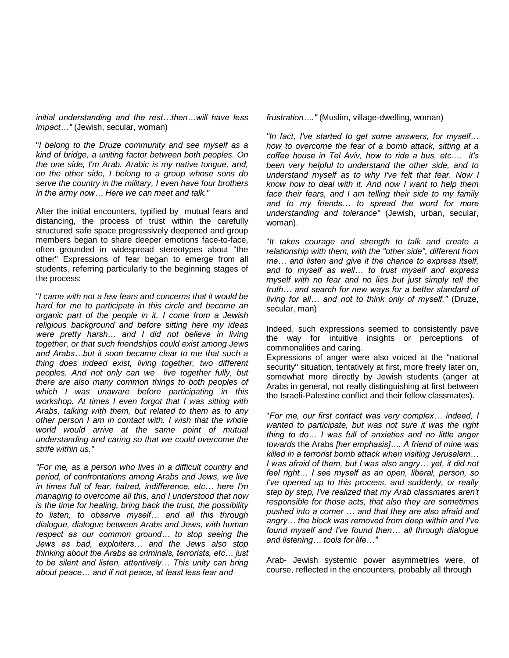*initial understanding and the rest…then…will have less impact…"* (Jewish, secular, woman)

"*I belong to the Druze community and see myself as a kind of bridge, a uniting factor between both peoples. On the one side, I'm Arab. Arabic is my native tongue, and, on the other side, I belong to a group whose sons do serve the country in the military, I even have four brothers in the army now… Here we can meet and talk."*

After the initial encounters, typified by mutual fears and distancing, the process of trust within the carefully structured safe space progressively deepened and group members began to share deeper emotions face-to-face, often grounded in widespread stereotypes about "the other" Expressions of fear began to emerge from all students, referring particularly to the beginning stages of the process:

"*I came with not a few fears and concerns that it would be hard for me to participate in this circle and become an organic part of the people in it. I come from a Jewish religious background and before sitting here my ideas were pretty harsh… and I did not believe in living together, or that such friendships could exist among Jews and Arabs…but it soon became clear to me that such a thing does indeed exist, living together, two different peoples. And not only can we live together fully, but there are also many common things to both peoples of which I was unaware before participating in this workshop. At times I even forgot that I was sitting with Arabs, talking with them, but related to them as to any other person I am in contact with. I wish that the whole world would arrive at the same point of mutual understanding and caring so that we could overcome the strife within us."*

*"For me, as a person who lives in a difficult country and period, of confrontations among Arabs and Jews, we live in times full of fear, hatred, indifference, etc… here I'm managing to overcome all this, and I understood that now is the time for healing, bring back the trust, the possibility to listen, to observe myself… and all this through dialogue, dialogue between Arabs and Jews, with human respect as our common ground… to stop seeing the Jews as bad, exploiters… and the Jews also stop thinking about the Arabs as criminals, terrorists, etc… just to be silent and listen, attentively… This unity can bring about peace… and if not peace, at least less fear and*

*frustration…."* (Muslim, village-dwelling, woman)

*"In fact, I've started to get some answers, for myself… how to overcome the fear of a bomb attack, sitting at a coffee house in Tel Aviv, how to ride a bus, etc.… it's been very helpful to understand the other side, and to understand myself as to why I've felt that fear. Now I know how to deal with it. And now I want to help them face their fears, and I am telling their side to my family and to my friends… to spread the word for more understanding and tolerance"* (Jewish, urban, secular, woman).

"*It takes courage and strength to talk and create a relationship with them, with the "other side", different from me… and listen and give it the chance to express itself, and to myself as well… to trust myself and express myself with no fear and no lies but just simply tell the truth… and search for new ways for a better standard of living for all… and not to think only of myself."* (Druze, secular, man)

Indeed, such expressions seemed to consistently pave the way for intuitive insights or perceptions of commonalities and caring.

Expressions of anger were also voiced at the "national security" situation, tentatively at first, more freely later on, somewhat more directly by Jewish students (anger at Arabs in general, not really distinguishing at first between the Israeli-Palestine conflict and their fellow classmates).

"*For me, our first contact was very complex… indeed, I wanted to participate, but was not sure it was the right thing to do… I was full of anxieties and no little anger towards* the Arabs *[her emphasis]…. A friend of mine was killed in a terrorist bomb attack when visiting Jerusalem… I was afraid of them, but I was also angry… yet, it did not feel right… I see myself as an open, liberal, person, so I've opened up to this process, and suddenly, or really step by step, I've realized that my Arab classmates aren't responsible for those acts, that also they are sometimes pushed into a corner … and that they are also afraid and angry… the block was removed from deep within and I've found myself and I've found then… all through dialogue and listening… tools for life…"*

Arab- Jewish systemic power asymmetries were, of course, reflected in the encounters, probably all through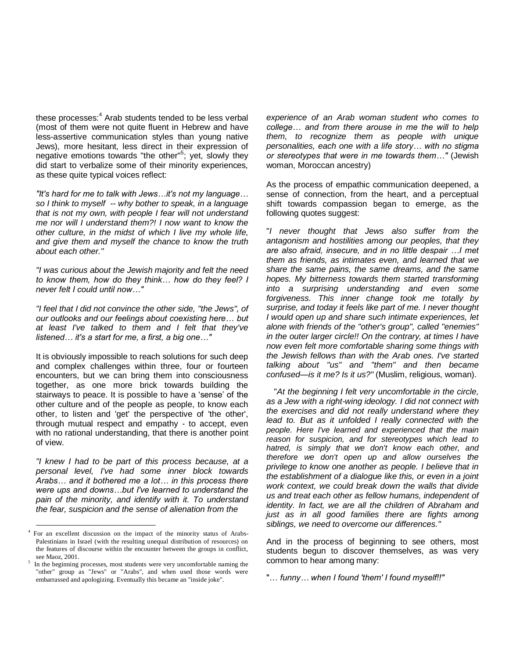these processes: $4$  Arab students tended to be less verbal (most of them were not quite fluent in Hebrew and have less-assertive communication styles than young native Jews), more hesitant, less direct in their expression of negative emotions towards "the other"<sup>5</sup>; yet, slowly they did start to verbalize some of their minority experiences, as these quite typical voices reflect:

*"It's hard for me to talk with Jews…it's not my language… so I think to myself -- why bother to speak, in a language that is not my own, with people I fear will not understand me nor will I understand them?! I now want to know the other culture, in the midst of which I live my whole life, and give them and myself the chance to know the truth about each other."*

*"I was curious about the Jewish majority and felt the need to know them, how do they think… how do they feel? I never felt I could until now…"*

*"I feel that I did not convince the other side, "the Jews", of our outlooks and our feelings about coexisting here… but at least I've talked to them and I felt that they've listened… it's a start for me, a first, a big one…"*

It is obviously impossible to reach solutions for such deep and complex challenges within three, four or fourteen encounters, but we can bring them into consciousness together, as one more brick towards building the stairways to peace. It is possible to have a 'sense' of the other culture and of the people as people, to know each other, to listen and 'get' the perspective of 'the other', through mutual respect and empathy - to accept, even with no rational understanding, that there is another point of view.

*"I knew I had to be part of this process because, at a personal level, I've had some inner block towards Arabs… and it bothered me a lot… in this process there were ups and downs…but I've learned to understand the pain of the minority, and identify with it. To understand the fear, suspicion and the sense of alienation from the* 

 $\overline{a}$ 

*experience of an Arab woman student who comes to college… and from there arouse in me the will to help them, to recognize them as people with unique personalities, each one with a life story… with no stigma or stereotypes that were in me towards them…"* (Jewish woman, Moroccan ancestry)

As the process of empathic communication deepened, a sense of connection, from the heart, and a perceptual shift towards compassion began to emerge, as the following quotes suggest:

"*I never thought that Jews also suffer from the antagonism and hostilities among our peoples, that they are also afraid, insecure, and in no little despair …I met them as friends, as intimates even, and learned that we share the same pains, the same dreams, and the same hopes. My bitterness towards them started transforming into a surprising understanding and even some forgiveness. This inner change took me totally by surprise, and today it feels like part of me. I never thought I would open up and share such intimate experiences, let alone with friends of the "other's group", called "enemies" in the outer larger circle!! On the contrary, at times I have now even felt more comfortable sharing some things with the Jewish fellows than with the Arab ones. I've started talking about "us" and "them" and then became confused—is it me? Is it us?"* (Muslim, religious, woman).

"*At the beginning I felt very uncomfortable in the circle, as a Jew with a right-wing ideology. I did not connect with the exercises and did not really understand where they lead to. But as it unfolded I really connected with the people. Here I've learned and experienced that the main reason for suspicion, and for stereotypes which lead to hatred, is simply that we don't know each other, and therefore we don't open up and allow ourselves the privilege to know one another as people. I believe that in the establishment of a dialogue like this, or even in a joint work context, we could break down the walls that divide us and treat each other as fellow humans, independent of identity. In fact, we are all the children of Abraham and just as in all good families there are fights among siblings, we need to overcome our differences."*

And in the process of beginning to see others, most students begun to discover themselves, as was very common to hear among many:

"… *funny… when I found 'them' I found myself!!"*

<sup>&</sup>lt;sup>4</sup> For an excellent discussion on the impact of the minority status of Arabs-Palestinians in Israel (with the resulting unequal distribution of resources) on the features of discourse within the encounter between the groups in conflict, see Maoz, 2001.

<sup>5</sup> In the beginning processes, most students were very uncomfortable naming the "other" group as "Jews" or "Arabs", and when used those words were embarrassed and apologizing. Eventually this became an "inside joke".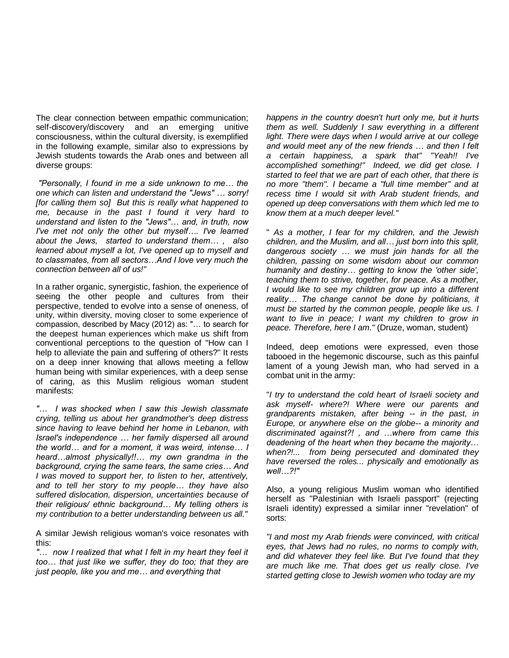The clear connection between empathic communication; self-discovery/discovery and an emerging unitive consciousness, within the cultural diversity, is exemplified in the following example, similar also to expressions by Jewish students towards the Arab ones and between all diverse groups:

*"Personally, I found in me a side unknown to me… the one which can listen and understand the "Jews" … sorry! [for calling them so] But this is really what happened to me, because in the past I found it very hard to understand and listen to the "Jews"… and, in truth, now I've met not only the other but myself…. I've learned about the Jews, started to understand them… , also learned about myself a lot, I've opened up to myself and to classmates, from all sectors…And I love very much the connection between all of us!"*

In a rather organic, synergistic, fashion, the experience of seeing the other people and cultures from their perspective, tended to evolve into a sense of oneness, of unity, within diversity, moving closer to some experience of compassion, described by Macy (2012) as: "… to search for the deepest human experiences which make us shift from conventional perceptions to the question of "How can I help to alleviate the pain and suffering of others?" It rests on a deep inner knowing that allows meeting a fellow human being with similar experiences, with a deep sense of caring, as this Muslim religious woman student manifests:

*"… I was shocked when I saw this Jewish classmate crying, telling us about her grandmother's deep distress since having to leave behind her home in Lebanon, with Israel's independence … her family dispersed all around the world… and for a moment, it was weird, intense… I heard…almost physically!!… my own grandma in the background, crying the same tears, the same cries… And I was moved to support her, to listen to her, attentively, and to tell her story to my people… they have also suffered dislocation, dispersion, uncertainties because of their religious/ ethnic background… My telling others is my contribution to a better understanding between us all."*

A similar Jewish religious woman's voice resonates with this:

*"… now I realized that what I felt in my heart they feel it too… that just like we suffer, they do too; that they are just people, like you and me… and everything that* 

*happens in the country doesn't hurt only me, but it hurts them as well. Suddenly I saw everything in a different light. There were days when I would arrive at our college and would meet any of the new friends … and then I felt a certain happiness, a spark that" "Yeah!! I've accomplished something!" Indeed, we did get close. I started to feel that we are part of each other, that there is no more "them". I became a "full time member" and at recess time I would sit with Arab student friends, and opened up deep conversations with them which led me to know them at a much deeper level."* 

" *As a mother, I fear for my children, and the Jewish children, and the Muslim, and all… just born into this split, dangerous society … we must join hands for all the children, passing on some wisdom about our common humanity and destiny… getting to know the 'other side', teaching them to strive, together, for peace. As a mother, I would like to see my children grow up into a different reality… The change cannot be done by politicians, it must be started by the common people, people like us. I want to live in peace; I want my children to grow in peace. Therefore, here I am."* (Druze, woman, student)

Indeed, deep emotions were expressed, even those tabooed in the hegemonic discourse, such as this painful lament of a young Jewish man, who had served in a combat unit in the army:

"*I try to understand the cold heart of Israeli society and ask myself- where?! Where were our parents and grandparents mistaken, after being -- in the past, in Europe, or anywhere else on the globe-- a minority and discriminated against?! , and …where from came this deadening of the heart when they became the majority… when?!... from being persecuted and dominated they have reversed the roles... physically and emotionally as well…?!"*

Also, a young religious Muslim woman who identified herself as "Palestinian with Israeli passport" (rejecting Israeli identity) expressed a similar inner "revelation" of sorts:

*"I and most my Arab friends were convinced, with critical eyes, that Jews had no rules, no norms to comply with, and did whatever they feel like. But I've found that they are much like me. That does get us really close. I've started getting close to Jewish women who today are my*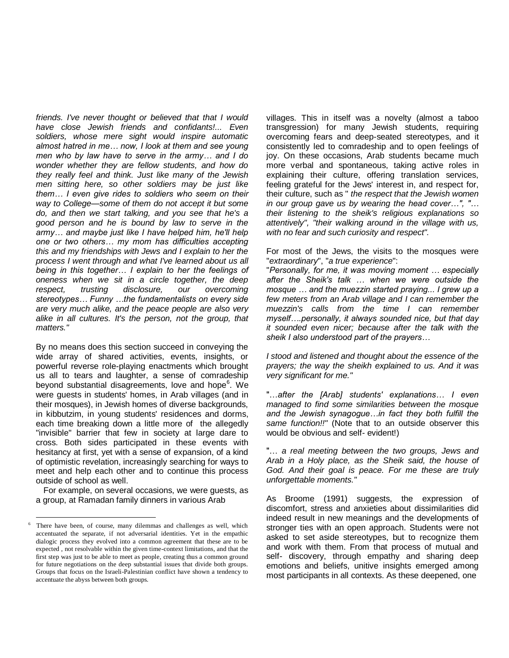*friends. I've never thought or believed that that I would have close Jewish friends and confidants!... Even soldiers, whose mere sight would inspire automatic almost hatred in me… now, I look at them and see young men who by law have to serve in the army… and I do wonder whether they are fellow students, and how do they really feel and think. Just like many of the Jewish men sitting here, so other soldiers may be just like them… I even give rides to soldiers who seem on their way to College—some of them do not accept it but some do, and then we start talking, and you see that he's a good person and he is bound by law to serve in the army… and maybe just like I have helped him, he'll help one or two others… my mom has difficulties accepting this and my friendships with Jews and I explain to her the process I went through and what I've learned about us all being in this together… I explain to her the feelings of oneness when we sit in a circle together, the deep respect, trusting disclosure, our overcoming stereotypes… Funny …the fundamentalists on every side are very much alike, and the peace people are also very alike in all cultures. It's the person, not the group, that matters."*

By no means does this section succeed in conveying the wide array of shared activities, events, insights, or powerful reverse role-playing enactments which brought us all to tears and laughter, a sense of comradeship beyond substantial disagreements, love and hope<sup>6</sup>. We were guests in students' homes, in Arab villages (and in their mosques), in Jewish homes of diverse backgrounds, in kibbutzim, in young students' residences and dorms, each time breaking down a little more of the allegedly "invisible" barrier that few in society at large dare to cross. Both sides participated in these events with hesitancy at first, yet with a sense of expansion, of a kind of optimistic revelation, increasingly searching for ways to meet and help each other and to continue this process outside of school as well.

For example, on several occasions, we were guests, as a group, at Ramadan family dinners in various Arab

 $\overline{a}$ 

villages. This in itself was a novelty (almost a taboo transgression) for many Jewish students, requiring overcoming fears and deep-seated stereotypes, and it consistently led to comradeship and to open feelings of joy. On these occasions, Arab students became much more verbal and spontaneous, taking active roles in explaining their culture, offering translation services, feeling grateful for the Jews' interest in, and respect for, their culture, such as " *the respect that the Jewish women in our group gave us by wearing the head cover…", "… their listening to the sheik's religious explanations so attentively", "their walking around in the village with us, with no fear and such curiosity and respect".*

For most of the Jews, the visits to the mosques were "*extraordinary*", "*a true experience*":

"*Personally, for me, it was moving moment … especially after the Sheik's talk … when we were outside the mosque … and the muezzin started praying... I grew up a few meters from an Arab village and I can remember the muezzin's calls from the time I can remember myself….personally, it always sounded nice, but that day it sounded even nicer; because after the talk with the sheik I also understood part of the prayers…* 

*I stood and listened and thought about the essence of the prayers; the way the sheikh explained to us. And it was very significant for me."*

"…*after the [Arab] students' explanations… I even managed to find some similarities between the mosque and the Jewish synagogue…in fact they both fulfill the same function!!"* (Note that to an outside observer this would be obvious and self- evident!)

"… *a real meeting between the two groups, Jews and Arab in a Holy place, as the Sheik said, the house of God. And their goal is peace. For me these are truly unforgettable moments."*

As Broome (1991) suggests, the expression of discomfort, stress and anxieties about dissimilarities did indeed result in new meanings and the developments of stronger ties with an open approach. Students were not asked to set aside stereotypes, but to recognize them and work with them. From that process of mutual and self- discovery, through empathy and sharing deep emotions and beliefs, unitive insights emerged among most participants in all contexts. As these deepened, one

There have been, of course, many dilemmas and challenges as well, which accentuated the separate, if not adversarial identities. Yet in the empathic dialogic process they evolved into a common agreement that these are to be expected , not resolvable within the given time-context limitations, and that the first step was just to be able to meet as people, creating thus a common ground for future negotiations on the deep substantial issues that divide both groups. Groups that focus on the Israeli-Palestinian conflict have shown a tendency to accentuate the abyss between both groups.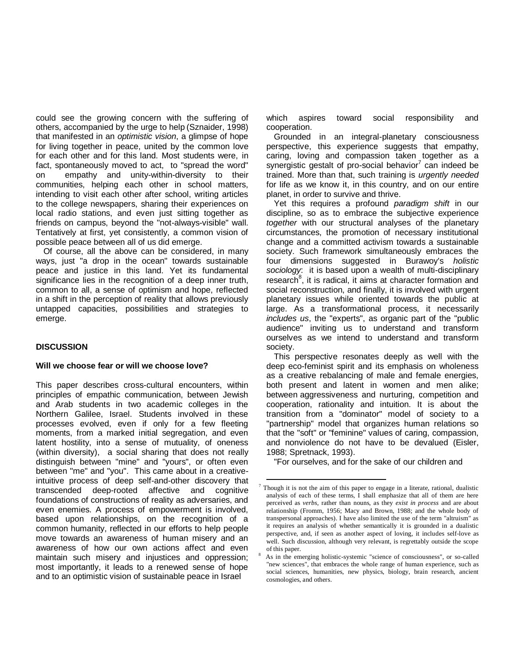could see the growing concern with the suffering of others, accompanied by the urge to help (Sznaider, 1998) that manifested in an *optimistic vision*, a glimpse of hope for living together in peace, united by the common love for each other and for this land. Most students were, in fact, spontaneously moved to act, to "spread the word" on empathy and unity-within-diversity to their communities, helping each other in school matters, intending to visit each other after school, writing articles to the college newspapers, sharing their experiences on local radio stations, and even just sitting together as friends on campus, beyond the "not-always-visible" wall. Tentatively at first, yet consistently, a common vision of possible peace between all of us did emerge.

Of course, all the above can be considered, in many ways, just "a drop in the ocean" towards sustainable peace and justice in this land. Yet its fundamental significance lies in the recognition of a deep inner truth, common to all, a sense of optimism and hope, reflected in a shift in the perception of reality that allows previously untapped capacities, possibilities and strategies to emerge.

#### **DISCUSSION**

#### **Will we choose fear or will we choose love?**

This paper describes cross-cultural encounters, within principles of empathic communication, between Jewish and Arab students in two academic colleges in the Northern Galilee, Israel. Students involved in these processes evolved, even if only for a few fleeting moments, from a marked initial segregation, and even latent hostility, into a sense of mutuality, of oneness (within diversity), a social sharing that does not really distinguish between "mine" and "yours", or often even between "me" and "you". This came about in a creativeintuitive process of deep self-and-other discovery that transcended deep-rooted affective and cognitive foundations of constructions of reality as adversaries, and even enemies. A process of empowerment is involved, based upon relationships, on the recognition of a common humanity, reflected in our efforts to help people move towards an awareness of human misery and an awareness of how our own actions affect and even maintain such misery and injustices and oppression; most importantly, it leads to a renewed sense of hope and to an optimistic vision of sustainable peace in Israel

which aspires toward social responsibility and cooperation.

Grounded in an integral-planetary consciousness perspective, this experience suggests that empathy, caring, loving and compassion taken together as a synergistic gestalt of pro-social behavior<sup>7</sup> can indeed be trained. More than that, such training is *urgently needed* for life as we know it, in this country, and on our entire planet, in order to survive and thrive.

Yet this requires a profound *paradigm shift* in our discipline, so as to embrace the subjective experience *together* with our structural analyses of the planetary circumstances, the promotion of necessary institutional change and a committed activism towards a sustainable society. Such framework simultaneously embraces the four dimensions suggested in Burawoy's *holistic sociology*: it is based upon a wealth of multi-disciplinary research<sup>8</sup>, it is radical, it aims at character formation and social reconstruction, and finally, it is involved with urgent planetary issues while oriented towards the public at large. As a transformational process, it necessarily *includes us*, the "experts", as organic part of the "public audience" inviting us to understand and transform ourselves as we intend to understand and transform society.

This perspective resonates deeply as well with the deep eco-feminist spirit and its emphasis on wholeness as a creative rebalancing of male and female energies, both present and latent in women and men alike; between aggressiveness and nurturing, competition and cooperation, rationality and intuition. It is about the transition from a "dominator" model of society to a "partnership" model that organizes human relations so that the "soft" or "feminine" values of caring, compassion, and nonviolence do not have to be devalued (Eisler, 1988; Spretnack, 1993).

"For ourselves, and for the sake of our children and

 $\overline{a}$ 

<sup>7</sup> Though it is not the aim of this paper to engage in a literate, rational, dualistic analysis of each of these terms, I shall emphasize that all of them are here perceived as *verbs*, rather than nouns, as they *exist in process* and are about relationship (Fromm, 1956; Macy and Brown, 1988; and the whole body of transpersonal approaches). I have also limited the use of the term "altruism" as it requires an analysis of whether semantically it is grounded in a dualistic perspective, and, if seen as another aspect of loving, it includes self-love as well. Such discussion, although very relevant, is regrettably outside the scope of this paper.

As in the emerging holistic-systemic "science of consciousness", or so-called "new sciences", that embraces the whole range of human experience, such as social sciences, humanities, new physics, biology, brain research, ancient cosmologies, and others.